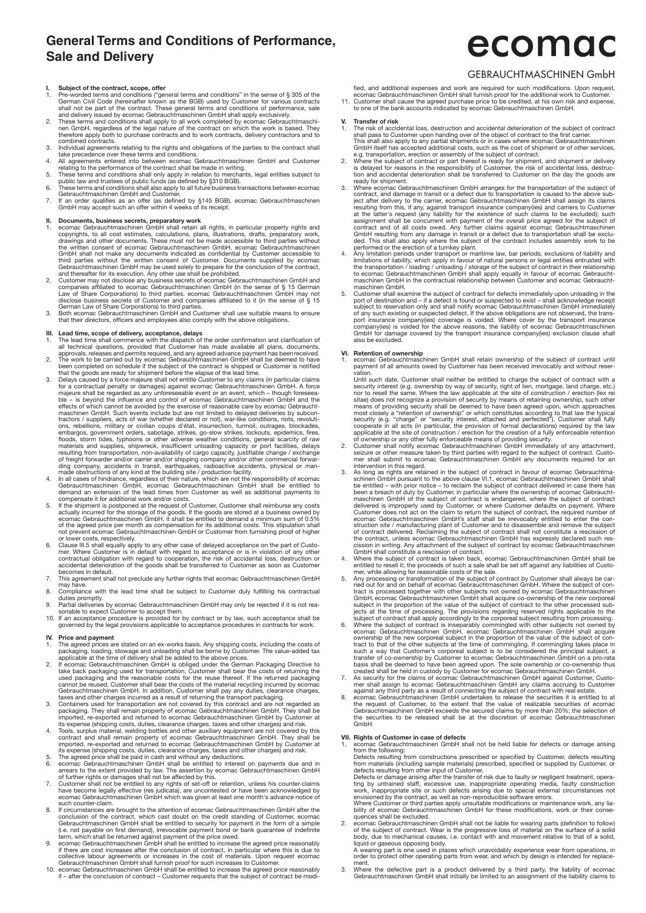## **General Terms and Conditions of Performance, Sale and Delivery**

- **I.** Subject of the contract, scope, offer<br>
1. Pre-worded terms and conditions" in the sense of § 305 of the<br>
Per-worded terms and conditions ("general terms and conditions" in the sense of § 305 of the<br>
German Civil Code
- 
- 
- 
- 
- combined contracts.<br>
2. Individual agreements relating to the rights and obligations of the parties to the contract shall<br>
take precedence over these terms and conditions.<br>
4. All agreements entered into between ecomac Geb

II. Documents, business secrets, preparatory work<br>1. ecomac Gebrauchtmaschinen GmbH shall retain all rights, in particular property rights and<br>copyrights, to all cost estimates, calculations, plans, illustrations, drafts, the written consent of ecomac Gebrauchtmaschinen GmbH. ecomac Gebrauchtmaschinen<br>GmbH shall not make any documents indicated as confidential by Customer accessible to<br>third parties without the written consent of Customer.

- companies affiliated to ecomac Gebrauchtmaschinen GmbH (in the sense of § 15 German Law of Share Corporations) to third parties. ecomac Gebrauchtmaschinen GmbH may not disclose business secrets of Customer and companies af
- 

- 
- 
- III. Lead time, scope of delivery, acceptance, delays<br>
1. The lead time shall commence with the dispatch of the order confirmation and clarification of<br>
all technical questions, provided that Customer has made available a effects of which cannot be avoided by the exercise of reasonable care by ecomac Gebraucht-<br>maschinen GmbH. Such events include but are not limited to delayed deliveries by subcon-<br>tractors / suppliers, acts of war (whether embargos, government orders, sabotage, strikes, go-slow strikes, lockouts, epidemics, fires, mort ides, typhoons or other adverse weather conditions, general scarcity of raw materials and supplies, shipwreck, insufficient
- 4. In all cases of hindrance, regardless of their nature, which are not the responsibility of ecomac<br>Gebrauchtmachinen GmbH, ecomac Gebrauchtmaschinen GmbH shall be entitled to<br>demand an extension of the lead times from C
- of the agreed price per month as compensation for its additional costs. This stipulation shall<br>not prevent ecomac Gebrauchtmaschinen GmbH or Customer from furnishing proof of higher<br>or lower costs, respectively.<br>6. Clause
- mer. Where Customer is in default with regard to acceptance or is in violation of any other<br>contractual obligation with regard to cooperation, the risk of accidental loss, destruction or<br>accidental deterioration of the goo becomes in default.
- 7. This agreement shall not preclude any further rights that ecomac Gebrauchtmaschinen GmbH may have.
- 8. Compliance with the lead time shall be subject to Customer duly fulfilling his contractual
- duties promptly.<br>9. Partial deliveries by ecomac Gebrauchtmaschinen GmbH may only be rejected if it is not rea-<br>10. Isonable to expect Customer to accept them.<br>10. If an acceptance procedure is provided for by contract or
- governed by the legal provisions applicable to acceptance procedures in contracts for work.

- **IV.** Price and payment<br>1. The agreed prices are stated on an ex-works basis. Any shipping costs, including the costs of<br>packaging, loading, stowage and unloading shall be borne by Customer. The value-added tax<br>applicable
- take back packaging used for transportation, Customer shall bear the costs of returning the capackaging and the reasonable costs for the reuse thereof. If the returned packaging and the reasonable costs of the material rec
- 
- 3. Containers used for transportation are not covered by this contract and are not regarded as<br>packaging. They shall remain property of ecomac Gebrauchtmaschinen GmbH. They shall be<br>imported, re-exported and returned to ec
- 
- arrears to the extent provided by law. The assertion by ecomac Gebrauchtmaschinen GmbH<br>of further rights or damages shall not be affected by this.<br>Customer shall not be entitled to any rights of set-off or retention, unles
- conclusion of the contract, which cast doubt on the credit standing of Customer, ecomac<br>Gebrauchtmachinen GmbH shall be entitled to security for payment in the form of a simple<br>(i.e. not payable on first demand), irrevocab
- 
- Gebrauchtmaschinen GmbH shall furnish proof for such increases to Customer.<br>10. ecomac Gebrauchtmaschinen GmbH shall be entitled to increase the agreed price reasonably<br>if after the conclusion of contract Customer requ

# ecomac

## GEBRAUCHTMASCHINEN GmbH

fied, and additional expenses and work are required for such modifications. Upon request, ecomac Gebrauchtmaschinen GmbH shall furnish proof for the additional work to Customer.

11. Customer shall cause the agreed purchase price to be credited, at his own risk and expense, to one of the bank accounts indicated by ecomac Gebrauchtmaschinen GmbH.

- **V. Transfer of risk**<br>1. The risk of accidental loss, destruction and accidental deterioration of the subject of contract<br>shall pass to Customer upon handing over of the object of contract to the first carrier. This shall also apply to any partial shipments or in cases where ecomac Gebrauchtmaschinen
- GmbH itself has accepted additional costs, such as the cost of shipment or of other services, e.g. transportation, erection or assembly of the subject of contract.<br>2. Where the subject of contract or part thereof is ready
- ready for shipment. When the subject of the transportation of the subject of<br>a where ecomac Gebrauchtmaschinen GmbH arranges for the transportation of the subject of<br>contract, and damage in transit or a defect due to trans
- 
- 5. Customer shall examine the subject of contract for defects immediately upon unloading in the port of destination and if a defect is found or suspected to exist shall acknowledge receipt subject to reservation only a GmbH for damage covered by the transport insurance company(ies) exclusion clause shall also be excluded.

**VI. Retention of ownership** 1. ecomac Gebrauchtmaschinen GmbH shall retain ownership of the subject of contract until payment of all amounts owed by Customer has been received irrevocably and without reser-

vation.<br>Until such date, Customer shall neither be entitled to charge the subject of contract with a<br>security interest (e.g. ownership by way of security, right of lien, mortgage, land charge, etc.)<br>nor to resell the same. sitae) does not recognize a provision of security by means of retaining ovnership, such other<br>means of providing security shall be deemed to have been agreed upon, which approaches<br>most closely a "retention of ownership" o

- applicable at the site of construction / erection for the creation of a fully enforceable retention<br>of cownership or any other fully enforceable means of providing security.<br>Customer shall notify ecomac Gebrauchtmaschinen
- 3. As long as rights are retained in the subject of contract in favour of ecomac Gebrauchtmaschinen GmbH pursuant to the above clause VI.1, ecomac Gebrauchtmaschinen GmbH shall<br>be entitled – with prior notice – to reclaim the subject of contract delivered in case there has<br>been a breach of duty by Customer, in pa ecomac Gebrauchtmaschinen GmbH's staff shall be irrevocably entitled to enter the construction site / manufacturing plant of Customer and to disassemble and remove the subject<br>of contract delivered. Reclaiming the subject of contract shall not constitute a rescission of<br>the contract, unless ecomac Gebrauch GmbH shall constitute a rescission of contract.<br>Where the subject of contract is taken back, ecomac Gebrauchtmaschinen GmbH shall be
- 
- 4. Where the subject of contract is taken back, ecomac Gebrauchtmaschinen GmbH shall be<br>entitled to resell it; the proceeds of such a sale shall be set off against any liabilities of Custo-<br>mer, while allowing for reasonab
- 6. Where the subject of contract is inseparably commingled with other subjects not owned by ecomac Gebrauchtmaschinen GmbH, ecomac Gebrauchtmaschinen GmbH shall acquire ownership of the new corporeal subject in the proport
- created shall be held in custody by Customer for ecomac Gebrauchtmaschinen GmbH<br>T. As security for the claims of ecomac Gebrauchtmaschinen GmbH against Customer, Customer<br>Security for the claims of ecomac Gebrauchtmaschine
- the request of Customer, to the extent that the value of realizable securities of ecomac<br>Gebrauchtmaschinen GmbH exceeds the secured claims by more than 20%; the selection of<br>the securities to be released shall be at the d

**VII. Rights of Customer in case of defects** 1. ecomac Gebrauchtmaschinen GmbH shall not be held liable for defects or damage arising

from the following:<br>Defects resulting from constructions prescribed or specified by Customer, defects resulting<br>from materials (including sample materials) prescribed, specified or supplied by Customer, or<br>defects resultin

Defects or damage arising after the transfer of risk due to faulty or negligent treatment, operating by untrained staff, excessive use, inappropriate operating media, faulty construction work, inappropriate site or such de

quences shall be excluded.

2. ecomac Gebrauchtmaschinen GmbH shall not be liable for wearing parts (definition to follow)<br>of the subject of contract. Wear is the progressive loss of material on the surface of a solid,<br>body, due to mechanical causes,

ment.

3. Where the defective part is a product delivered by a third party, the liability of ecomac Gebrauchtmaschinen GmbH shall initially be limited to an assignment of the liability claims to